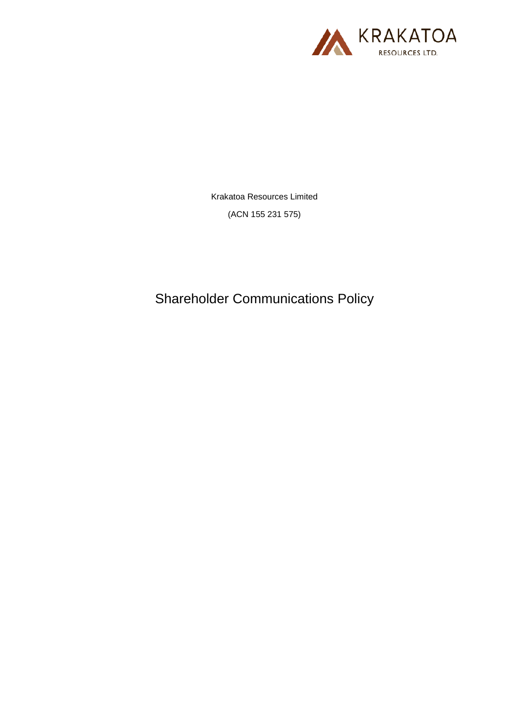

Krakatoa Resources Limited

(ACN 155 231 575)

Shareholder Communications Policy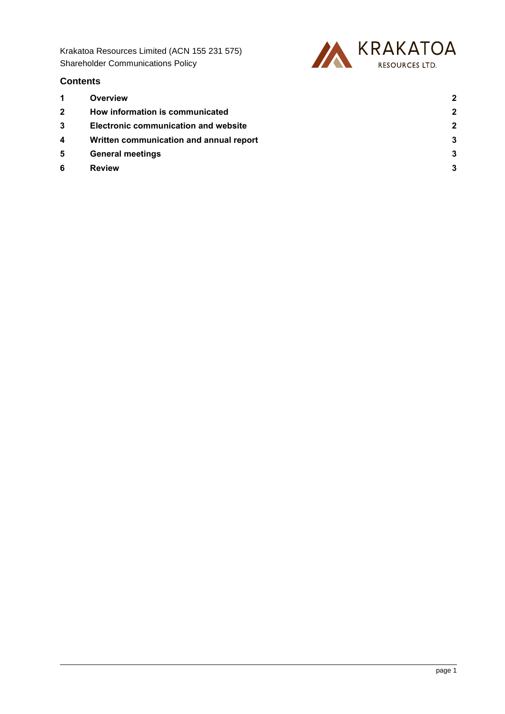Krakatoa Resources Limited (ACN 155 231 575) Shareholder Communications Policy



## **Contents**

- 
- 
- 
- 
- 
- 
- **1 [Overview](#page-2-0) 2 2 [How information is communicated](#page-2-1) 2 3 [Electronic communication and website](#page-2-2) 2 4 [Written communication and annual report](#page-3-0) 3 5 [General meetings](#page-3-1) 3 6 [Review](#page-3-2) 3**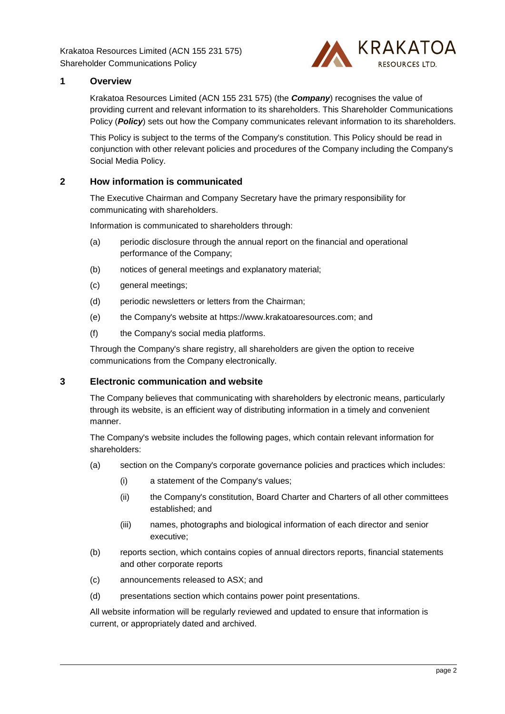Krakatoa Resources Limited (ACN 155 231 575) Shareholder Communications Policy



## <span id="page-2-0"></span>**1 Overview**

Krakatoa Resources Limited (ACN 155 231 575) (the *Company*) recognises the value of providing current and relevant information to its shareholders. This Shareholder Communications Policy (**Policy**) sets out how the Company communicates relevant information to its shareholders.

This Policy is subject to the terms of the Company's constitution. This Policy should be read in conjunction with other relevant policies and procedures of the Company including the Company's Social Media Policy.

## <span id="page-2-1"></span>**2 How information is communicated**

The Executive Chairman and Company Secretary have the primary responsibility for communicating with shareholders.

Information is communicated to shareholders through:

- (a) periodic disclosure through the annual report on the financial and operational performance of the Company;
- (b) notices of general meetings and explanatory material;
- (c) general meetings;
- (d) periodic newsletters or letters from the Chairman;
- (e) the Company's website at https://www.krakatoaresources.com; and
- (f) the Company's social media platforms.

Through the Company's share registry, all shareholders are given the option to receive communications from the Company electronically.

#### <span id="page-2-2"></span>**3 Electronic communication and website**

The Company believes that communicating with shareholders by electronic means, particularly through its website, is an efficient way of distributing information in a timely and convenient manner.

The Company's website includes the following pages, which contain relevant information for shareholders:

- (a) section on the Company's corporate governance policies and practices which includes:
	- (i) a statement of the Company's values;
	- (ii) the Company's constitution, Board Charter and Charters of all other committees established; and
	- (iii) names, photographs and biological information of each director and senior executive;
- (b) reports section, which contains copies of annual directors reports, financial statements and other corporate reports
- (c) announcements released to ASX; and
- (d) presentations section which contains power point presentations.

All website information will be regularly reviewed and updated to ensure that information is current, or appropriately dated and archived.